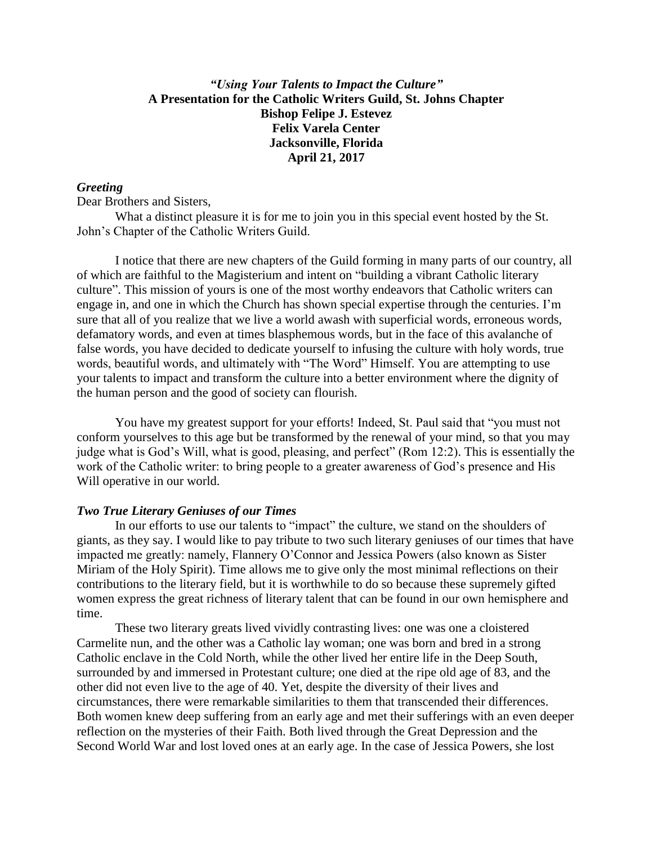# *"Using Your Talents to Impact the Culture"* **A Presentation for the Catholic Writers Guild, St. Johns Chapter Bishop Felipe J. Estevez Felix Varela Center Jacksonville, Florida April 21, 2017**

### *Greeting*

Dear Brothers and Sisters,

What a distinct pleasure it is for me to join you in this special event hosted by the St. John's Chapter of the Catholic Writers Guild.

I notice that there are new chapters of the Guild forming in many parts of our country, all of which are faithful to the Magisterium and intent on "building a vibrant Catholic literary culture". This mission of yours is one of the most worthy endeavors that Catholic writers can engage in, and one in which the Church has shown special expertise through the centuries. I'm sure that all of you realize that we live a world awash with superficial words, erroneous words, defamatory words, and even at times blasphemous words, but in the face of this avalanche of false words, you have decided to dedicate yourself to infusing the culture with holy words, true words, beautiful words, and ultimately with "The Word" Himself. You are attempting to use your talents to impact and transform the culture into a better environment where the dignity of the human person and the good of society can flourish.

You have my greatest support for your efforts! Indeed, St. Paul said that "you must not conform yourselves to this age but be transformed by the renewal of your mind, so that you may judge what is God's Will, what is good, pleasing, and perfect" (Rom 12:2). This is essentially the work of the Catholic writer: to bring people to a greater awareness of God's presence and His Will operative in our world.

#### *Two True Literary Geniuses of our Times*

In our efforts to use our talents to "impact" the culture, we stand on the shoulders of giants, as they say. I would like to pay tribute to two such literary geniuses of our times that have impacted me greatly: namely, Flannery O'Connor and Jessica Powers (also known as Sister Miriam of the Holy Spirit). Time allows me to give only the most minimal reflections on their contributions to the literary field, but it is worthwhile to do so because these supremely gifted women express the great richness of literary talent that can be found in our own hemisphere and time.

These two literary greats lived vividly contrasting lives: one was one a cloistered Carmelite nun, and the other was a Catholic lay woman; one was born and bred in a strong Catholic enclave in the Cold North, while the other lived her entire life in the Deep South, surrounded by and immersed in Protestant culture; one died at the ripe old age of 83, and the other did not even live to the age of 40. Yet, despite the diversity of their lives and circumstances, there were remarkable similarities to them that transcended their differences. Both women knew deep suffering from an early age and met their sufferings with an even deeper reflection on the mysteries of their Faith. Both lived through the Great Depression and the Second World War and lost loved ones at an early age. In the case of Jessica Powers, she lost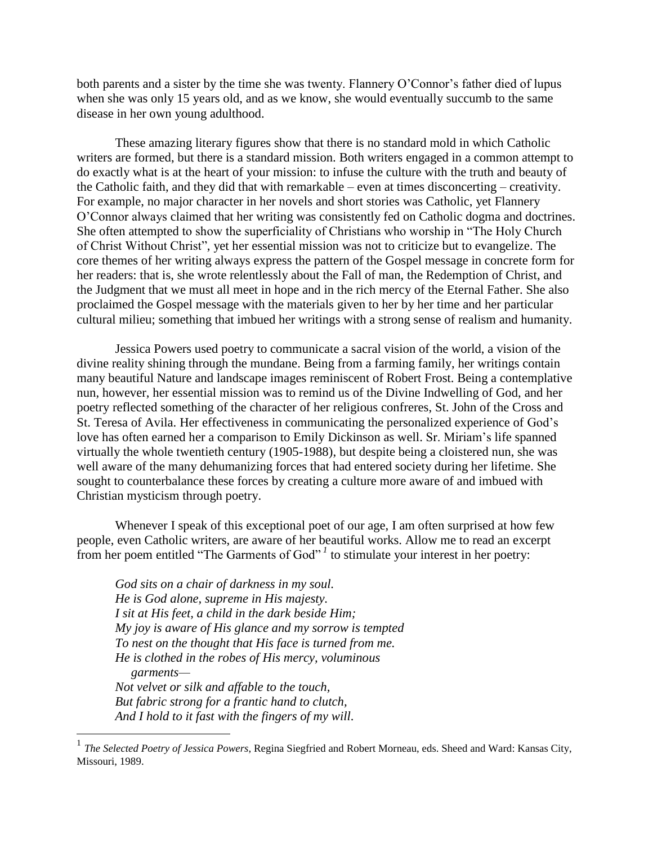both parents and a sister by the time she was twenty. Flannery O'Connor's father died of lupus when she was only 15 years old, and as we know, she would eventually succumb to the same disease in her own young adulthood.

These amazing literary figures show that there is no standard mold in which Catholic writers are formed, but there is a standard mission. Both writers engaged in a common attempt to do exactly what is at the heart of your mission: to infuse the culture with the truth and beauty of the Catholic faith, and they did that with remarkable – even at times disconcerting – creativity. For example, no major character in her novels and short stories was Catholic, yet Flannery O'Connor always claimed that her writing was consistently fed on Catholic dogma and doctrines. She often attempted to show the superficiality of Christians who worship in "The Holy Church of Christ Without Christ", yet her essential mission was not to criticize but to evangelize. The core themes of her writing always express the pattern of the Gospel message in concrete form for her readers: that is, she wrote relentlessly about the Fall of man, the Redemption of Christ, and the Judgment that we must all meet in hope and in the rich mercy of the Eternal Father. She also proclaimed the Gospel message with the materials given to her by her time and her particular cultural milieu; something that imbued her writings with a strong sense of realism and humanity.

Jessica Powers used poetry to communicate a sacral vision of the world, a vision of the divine reality shining through the mundane. Being from a farming family, her writings contain many beautiful Nature and landscape images reminiscent of Robert Frost. Being a contemplative nun, however, her essential mission was to remind us of the Divine Indwelling of God, and her poetry reflected something of the character of her religious confreres, St. John of the Cross and St. Teresa of Avila. Her effectiveness in communicating the personalized experience of God's love has often earned her a comparison to Emily Dickinson as well. Sr. Miriam's life spanned virtually the whole twentieth century (1905-1988), but despite being a cloistered nun, she was well aware of the many dehumanizing forces that had entered society during her lifetime. She sought to counterbalance these forces by creating a culture more aware of and imbued with Christian mysticism through poetry.

Whenever I speak of this exceptional poet of our age, I am often surprised at how few people, even Catholic writers, are aware of her beautiful works. Allow me to read an excerpt from her poem entitled "The Garments of God"<sup>, 1</sup> to stimulate your interest in her poetry:

*God sits on a chair of darkness in my soul. He is God alone, supreme in His majesty. I sit at His feet, a child in the dark beside Him; My joy is aware of His glance and my sorrow is tempted To nest on the thought that His face is turned from me. He is clothed in the robes of His mercy, voluminous garments— Not velvet or silk and affable to the touch, But fabric strong for a frantic hand to clutch, And I hold to it fast with the fingers of my will.*

 $\overline{a}$ 

<sup>1</sup> *The Selected Poetry of Jessica Powers*, Regina Siegfried and Robert Morneau, eds. Sheed and Ward: Kansas City, Missouri, 1989.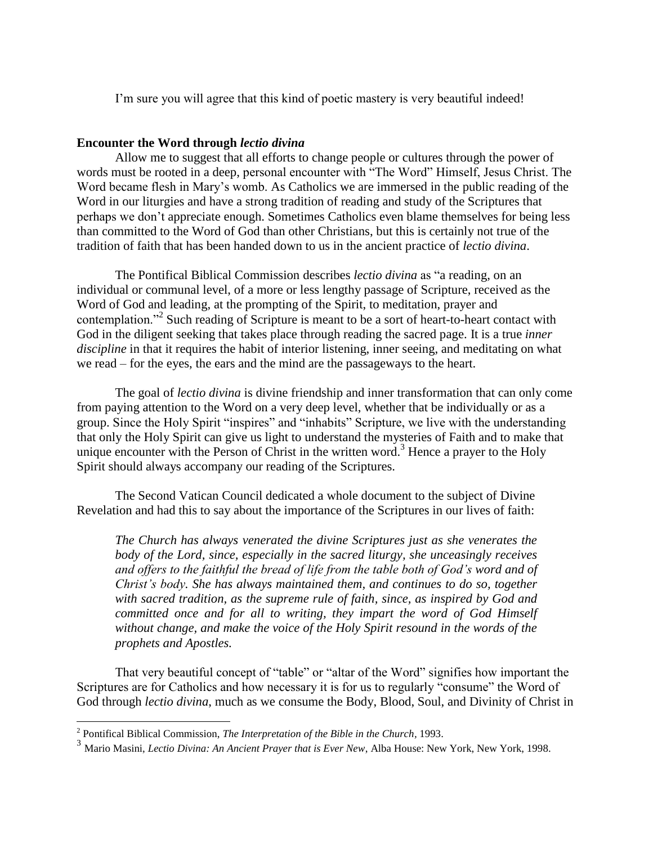I'm sure you will agree that this kind of poetic mastery is very beautiful indeed!

## **Encounter the Word through** *lectio divina*

Allow me to suggest that all efforts to change people or cultures through the power of words must be rooted in a deep, personal encounter with "The Word" Himself, Jesus Christ. The Word became flesh in Mary's womb. As Catholics we are immersed in the public reading of the Word in our liturgies and have a strong tradition of reading and study of the Scriptures that perhaps we don't appreciate enough. Sometimes Catholics even blame themselves for being less than committed to the Word of God than other Christians, but this is certainly not true of the tradition of faith that has been handed down to us in the ancient practice of *lectio divina*.

The Pontifical Biblical Commission describes *lectio divina* as "a reading, on an individual or communal level, of a more or less lengthy passage of Scripture, received as the Word of God and leading, at the prompting of the Spirit, to meditation, prayer and contemplation."<sup>2</sup> Such reading of Scripture is meant to be a sort of heart-to-heart contact with God in the diligent seeking that takes place through reading the sacred page. It is a true *inner discipline* in that it requires the habit of interior listening, inner seeing, and meditating on what we read – for the eyes, the ears and the mind are the passageways to the heart.

The goal of *lectio divina* is divine friendship and inner transformation that can only come from paying attention to the Word on a very deep level, whether that be individually or as a group. Since the Holy Spirit "inspires" and "inhabits" Scripture, we live with the understanding that only the Holy Spirit can give us light to understand the mysteries of Faith and to make that unique encounter with the Person of Christ in the written word.<sup>3</sup> Hence a prayer to the Holy Spirit should always accompany our reading of the Scriptures.

The Second Vatican Council dedicated a whole document to the subject of Divine Revelation and had this to say about the importance of the Scriptures in our lives of faith:

*The Church has always venerated the divine Scriptures just as she venerates the body of the Lord, since, especially in the sacred liturgy, she unceasingly receives*  and offers to the faithful the bread of life from the table both of God's word and of *Christ's body. She has always maintained them, and continues to do so, together with sacred tradition, as the supreme rule of faith, since, as inspired by God and committed once and for all to writing, they impart the word of God Himself without change, and make the voice of the Holy Spirit resound in the words of the prophets and Apostles.*

That very beautiful concept of "table" or "altar of the Word" signifies how important the Scriptures are for Catholics and how necessary it is for us to regularly "consume" the Word of God through *lectio divina*, much as we consume the Body, Blood, Soul, and Divinity of Christ in

 $\overline{a}$ 

<sup>2</sup> Pontifical Biblical Commission, *The Interpretation of the Bible in the Church,* 1993.

<sup>3</sup> Mario Masini, *Lectio Divina: An Ancient Prayer that is Ever New*, Alba House: New York, New York, 1998.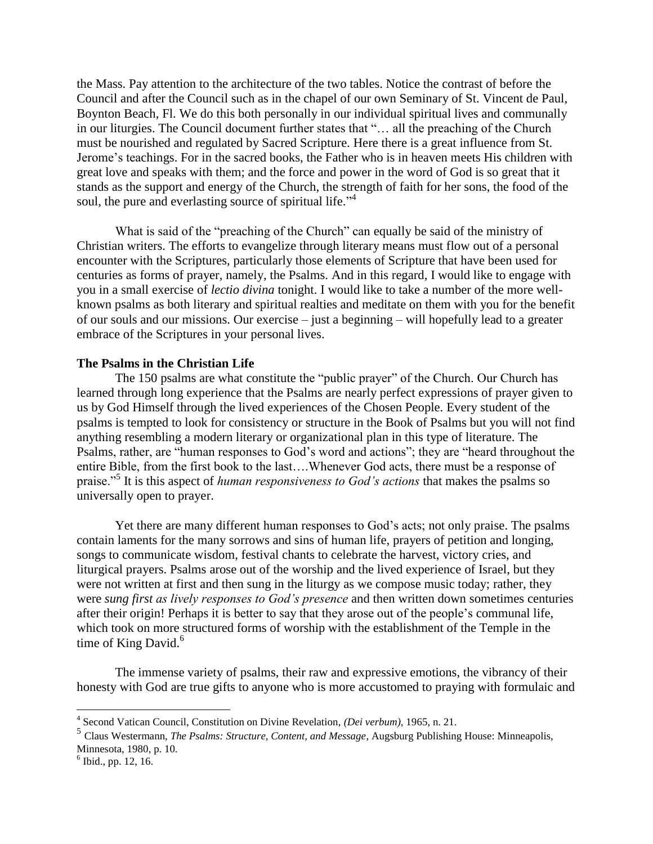the Mass. Pay attention to the architecture of the two tables. Notice the contrast of before the Council and after the Council such as in the chapel of our own Seminary of St. Vincent de Paul, Boynton Beach, Fl. We do this both personally in our individual spiritual lives and communally in our liturgies. The Council document further states that "… all the preaching of the Church must be nourished and regulated by Sacred Scripture. Here there is a great influence from St. Jerome's teachings. For in the sacred books, the Father who is in heaven meets His children with great love and speaks with them; and the force and power in the word of God is so great that it stands as the support and energy of the Church, the strength of faith for her sons, the food of the soul, the pure and everlasting source of spiritual life."<sup>4</sup>

What is said of the "preaching of the Church" can equally be said of the ministry of Christian writers. The efforts to evangelize through literary means must flow out of a personal encounter with the Scriptures, particularly those elements of Scripture that have been used for centuries as forms of prayer, namely, the Psalms. And in this regard, I would like to engage with you in a small exercise of *lectio divina* tonight. I would like to take a number of the more wellknown psalms as both literary and spiritual realties and meditate on them with you for the benefit of our souls and our missions. Our exercise – just a beginning – will hopefully lead to a greater embrace of the Scriptures in your personal lives.

#### **The Psalms in the Christian Life**

The 150 psalms are what constitute the "public prayer" of the Church. Our Church has learned through long experience that the Psalms are nearly perfect expressions of prayer given to us by God Himself through the lived experiences of the Chosen People. Every student of the psalms is tempted to look for consistency or structure in the Book of Psalms but you will not find anything resembling a modern literary or organizational plan in this type of literature. The Psalms, rather, are "human responses to God's word and actions"; they are "heard throughout the entire Bible, from the first book to the last….Whenever God acts, there must be a response of praise."<sup>5</sup> It is this aspect of *human responsiveness to God's actions* that makes the psalms so universally open to prayer.

Yet there are many different human responses to God's acts; not only praise. The psalms contain laments for the many sorrows and sins of human life, prayers of petition and longing, songs to communicate wisdom, festival chants to celebrate the harvest, victory cries, and liturgical prayers. Psalms arose out of the worship and the lived experience of Israel, but they were not written at first and then sung in the liturgy as we compose music today; rather, they were *sung first as lively responses to God's presence* and then written down sometimes centuries after their origin! Perhaps it is better to say that they arose out of the people's communal life, which took on more structured forms of worship with the establishment of the Temple in the time of King David.<sup>6</sup>

The immense variety of psalms, their raw and expressive emotions, the vibrancy of their honesty with God are true gifts to anyone who is more accustomed to praying with formulaic and

 4 Second Vatican Council, Constitution on Divine Revelation, *(Dei verbum)*, 1965, n. 21.

<sup>5</sup> Claus Westermann, *The Psalms: Structure, Content, and Message*, Augsburg Publishing House: Minneapolis, Minnesota, 1980, p. 10.

 $<sup>6</sup>$  Ibid., pp. 12, 16.</sup>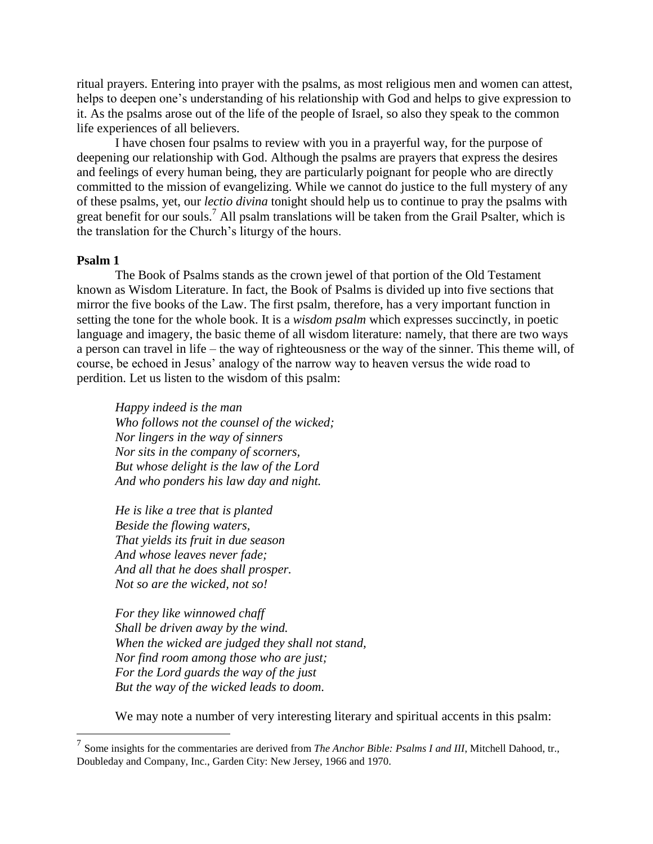ritual prayers. Entering into prayer with the psalms, as most religious men and women can attest, helps to deepen one's understanding of his relationship with God and helps to give expression to it. As the psalms arose out of the life of the people of Israel, so also they speak to the common life experiences of all believers.

I have chosen four psalms to review with you in a prayerful way, for the purpose of deepening our relationship with God. Although the psalms are prayers that express the desires and feelings of every human being, they are particularly poignant for people who are directly committed to the mission of evangelizing. While we cannot do justice to the full mystery of any of these psalms, yet, our *lectio divina* tonight should help us to continue to pray the psalms with great benefit for our souls.<sup>7</sup> All psalm translations will be taken from the Grail Psalter, which is the translation for the Church's liturgy of the hours.

#### **Psalm 1**

 $\overline{a}$ 

The Book of Psalms stands as the crown jewel of that portion of the Old Testament known as Wisdom Literature. In fact, the Book of Psalms is divided up into five sections that mirror the five books of the Law. The first psalm, therefore, has a very important function in setting the tone for the whole book. It is a *wisdom psalm* which expresses succinctly, in poetic language and imagery, the basic theme of all wisdom literature: namely, that there are two ways a person can travel in life – the way of righteousness or the way of the sinner. This theme will, of course, be echoed in Jesus' analogy of the narrow way to heaven versus the wide road to perdition. Let us listen to the wisdom of this psalm:

*Happy indeed is the man Who follows not the counsel of the wicked; Nor lingers in the way of sinners Nor sits in the company of scorners, But whose delight is the law of the Lord And who ponders his law day and night.*

*He is like a tree that is planted Beside the flowing waters, That yields its fruit in due season And whose leaves never fade; And all that he does shall prosper. Not so are the wicked, not so!*

*For they like winnowed chaff Shall be driven away by the wind. When the wicked are judged they shall not stand, Nor find room among those who are just; For the Lord guards the way of the just But the way of the wicked leads to doom.* 

We may note a number of very interesting literary and spiritual accents in this psalm:

<sup>7</sup> Some insights for the commentaries are derived from *The Anchor Bible: Psalms I and III*, Mitchell Dahood, tr., Doubleday and Company, Inc., Garden City: New Jersey, 1966 and 1970.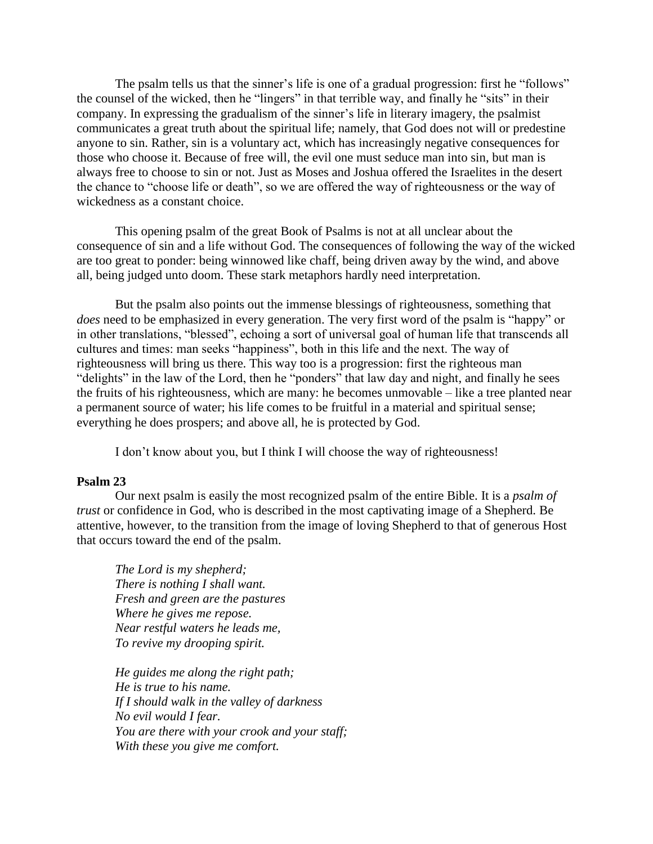The psalm tells us that the sinner's life is one of a gradual progression: first he "follows" the counsel of the wicked, then he "lingers" in that terrible way, and finally he "sits" in their company. In expressing the gradualism of the sinner's life in literary imagery, the psalmist communicates a great truth about the spiritual life; namely, that God does not will or predestine anyone to sin. Rather, sin is a voluntary act, which has increasingly negative consequences for those who choose it. Because of free will, the evil one must seduce man into sin, but man is always free to choose to sin or not. Just as Moses and Joshua offered the Israelites in the desert the chance to "choose life or death", so we are offered the way of righteousness or the way of wickedness as a constant choice.

This opening psalm of the great Book of Psalms is not at all unclear about the consequence of sin and a life without God. The consequences of following the way of the wicked are too great to ponder: being winnowed like chaff, being driven away by the wind, and above all, being judged unto doom. These stark metaphors hardly need interpretation.

But the psalm also points out the immense blessings of righteousness, something that *does* need to be emphasized in every generation. The very first word of the psalm is "happy" or in other translations, "blessed", echoing a sort of universal goal of human life that transcends all cultures and times: man seeks "happiness", both in this life and the next. The way of righteousness will bring us there. This way too is a progression: first the righteous man "delights" in the law of the Lord, then he "ponders" that law day and night, and finally he sees the fruits of his righteousness, which are many: he becomes unmovable – like a tree planted near a permanent source of water; his life comes to be fruitful in a material and spiritual sense; everything he does prospers; and above all, he is protected by God.

I don't know about you, but I think I will choose the way of righteousness!

## **Psalm 23**

Our next psalm is easily the most recognized psalm of the entire Bible. It is a *psalm of trust* or confidence in God, who is described in the most captivating image of a Shepherd. Be attentive, however, to the transition from the image of loving Shepherd to that of generous Host that occurs toward the end of the psalm.

*The Lord is my shepherd; There is nothing I shall want. Fresh and green are the pastures Where he gives me repose. Near restful waters he leads me, To revive my drooping spirit.* 

*He guides me along the right path; He is true to his name. If I should walk in the valley of darkness No evil would I fear. You are there with your crook and your staff; With these you give me comfort.*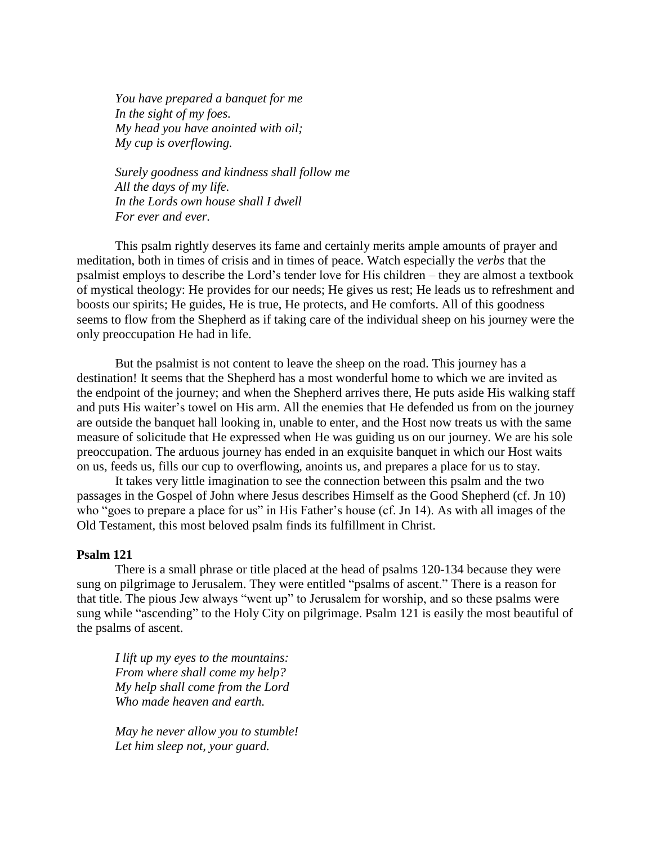*You have prepared a banquet for me In the sight of my foes. My head you have anointed with oil; My cup is overflowing.*

*Surely goodness and kindness shall follow me All the days of my life. In the Lords own house shall I dwell For ever and ever.*

This psalm rightly deserves its fame and certainly merits ample amounts of prayer and meditation, both in times of crisis and in times of peace. Watch especially the *verbs* that the psalmist employs to describe the Lord's tender love for His children – they are almost a textbook of mystical theology: He provides for our needs; He gives us rest; He leads us to refreshment and boosts our spirits; He guides, He is true, He protects, and He comforts. All of this goodness seems to flow from the Shepherd as if taking care of the individual sheep on his journey were the only preoccupation He had in life.

But the psalmist is not content to leave the sheep on the road. This journey has a destination! It seems that the Shepherd has a most wonderful home to which we are invited as the endpoint of the journey; and when the Shepherd arrives there, He puts aside His walking staff and puts His waiter's towel on His arm. All the enemies that He defended us from on the journey are outside the banquet hall looking in, unable to enter, and the Host now treats us with the same measure of solicitude that He expressed when He was guiding us on our journey. We are his sole preoccupation. The arduous journey has ended in an exquisite banquet in which our Host waits on us, feeds us, fills our cup to overflowing, anoints us, and prepares a place for us to stay.

It takes very little imagination to see the connection between this psalm and the two passages in the Gospel of John where Jesus describes Himself as the Good Shepherd (cf. Jn 10) who "goes to prepare a place for us" in His Father's house (cf. Jn 14). As with all images of the Old Testament, this most beloved psalm finds its fulfillment in Christ.

#### **Psalm 121**

There is a small phrase or title placed at the head of psalms 120-134 because they were sung on pilgrimage to Jerusalem. They were entitled "psalms of ascent." There is a reason for that title. The pious Jew always "went up" to Jerusalem for worship, and so these psalms were sung while "ascending" to the Holy City on pilgrimage. Psalm 121 is easily the most beautiful of the psalms of ascent.

*I lift up my eyes to the mountains: From where shall come my help? My help shall come from the Lord Who made heaven and earth.* 

*May he never allow you to stumble! Let him sleep not, your guard.*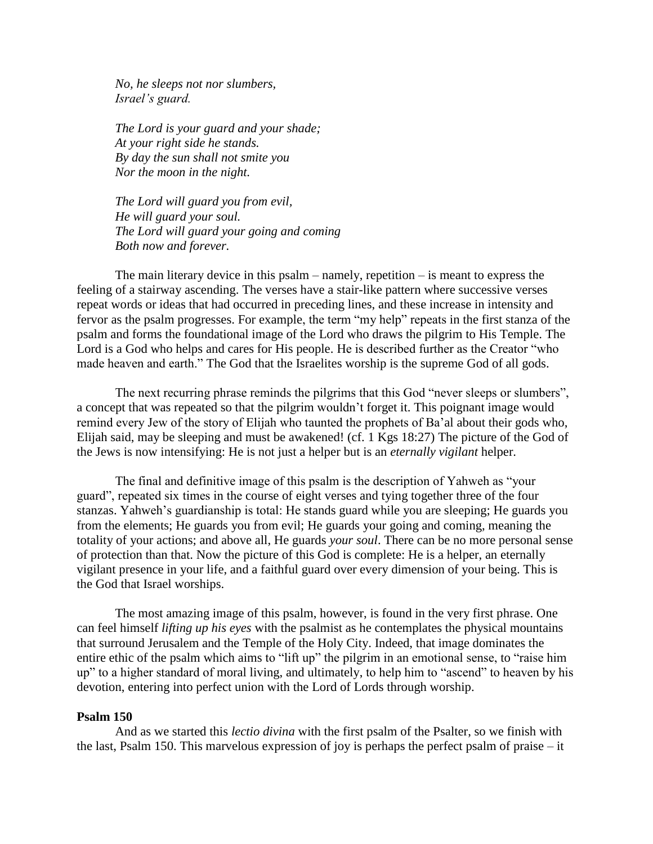*No, he sleeps not nor slumbers, Israel's guard.*

*The Lord is your guard and your shade; At your right side he stands. By day the sun shall not smite you Nor the moon in the night.*

*The Lord will guard you from evil, He will guard your soul. The Lord will guard your going and coming Both now and forever.* 

The main literary device in this psalm – namely, repetition – is meant to express the feeling of a stairway ascending. The verses have a stair-like pattern where successive verses repeat words or ideas that had occurred in preceding lines, and these increase in intensity and fervor as the psalm progresses. For example, the term "my help" repeats in the first stanza of the psalm and forms the foundational image of the Lord who draws the pilgrim to His Temple. The Lord is a God who helps and cares for His people. He is described further as the Creator "who made heaven and earth." The God that the Israelites worship is the supreme God of all gods.

The next recurring phrase reminds the pilgrims that this God "never sleeps or slumbers", a concept that was repeated so that the pilgrim wouldn't forget it. This poignant image would remind every Jew of the story of Elijah who taunted the prophets of Ba'al about their gods who, Elijah said, may be sleeping and must be awakened! (cf. 1 Kgs 18:27) The picture of the God of the Jews is now intensifying: He is not just a helper but is an *eternally vigilant* helper.

The final and definitive image of this psalm is the description of Yahweh as "your guard", repeated six times in the course of eight verses and tying together three of the four stanzas. Yahweh's guardianship is total: He stands guard while you are sleeping; He guards you from the elements; He guards you from evil; He guards your going and coming, meaning the totality of your actions; and above all, He guards *your soul*. There can be no more personal sense of protection than that. Now the picture of this God is complete: He is a helper, an eternally vigilant presence in your life, and a faithful guard over every dimension of your being. This is the God that Israel worships.

The most amazing image of this psalm, however, is found in the very first phrase. One can feel himself *lifting up his eyes* with the psalmist as he contemplates the physical mountains that surround Jerusalem and the Temple of the Holy City. Indeed, that image dominates the entire ethic of the psalm which aims to "lift up" the pilgrim in an emotional sense, to "raise him up" to a higher standard of moral living, and ultimately, to help him to "ascend" to heaven by his devotion, entering into perfect union with the Lord of Lords through worship.

#### **Psalm 150**

And as we started this *lectio divina* with the first psalm of the Psalter, so we finish with the last, Psalm 150. This marvelous expression of joy is perhaps the perfect psalm of praise – it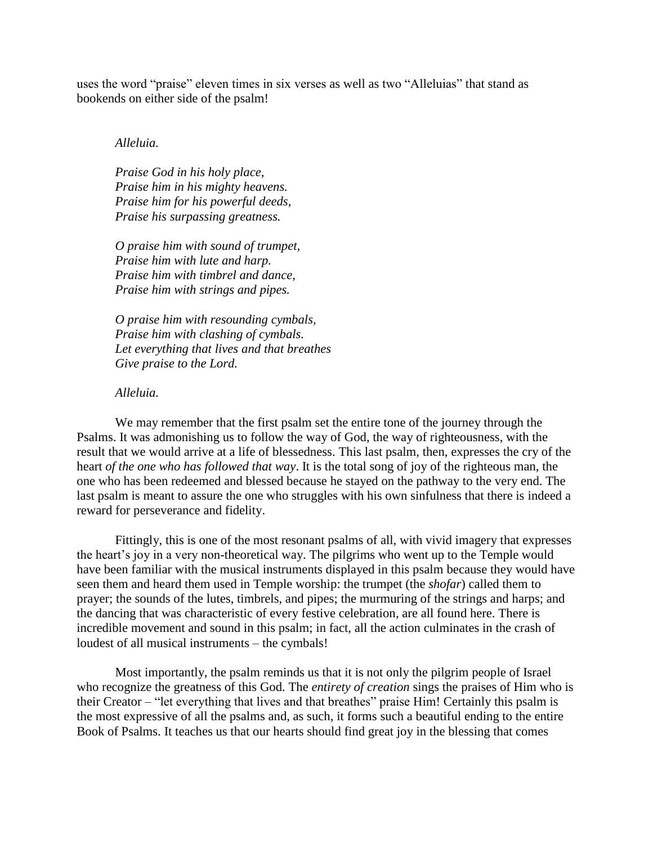uses the word "praise" eleven times in six verses as well as two "Alleluias" that stand as bookends on either side of the psalm!

#### *Alleluia.*

*Praise God in his holy place, Praise him in his mighty heavens. Praise him for his powerful deeds, Praise his surpassing greatness.*

*O praise him with sound of trumpet, Praise him with lute and harp. Praise him with timbrel and dance, Praise him with strings and pipes.*

*O praise him with resounding cymbals, Praise him with clashing of cymbals. Let everything that lives and that breathes Give praise to the Lord.* 

# *Alleluia.*

We may remember that the first psalm set the entire tone of the journey through the Psalms. It was admonishing us to follow the way of God, the way of righteousness, with the result that we would arrive at a life of blessedness. This last psalm, then, expresses the cry of the heart *of the one who has followed that way*. It is the total song of joy of the righteous man, the one who has been redeemed and blessed because he stayed on the pathway to the very end. The last psalm is meant to assure the one who struggles with his own sinfulness that there is indeed a reward for perseverance and fidelity.

Fittingly, this is one of the most resonant psalms of all, with vivid imagery that expresses the heart's joy in a very non-theoretical way. The pilgrims who went up to the Temple would have been familiar with the musical instruments displayed in this psalm because they would have seen them and heard them used in Temple worship: the trumpet (the *shofar*) called them to prayer; the sounds of the lutes, timbrels, and pipes; the murmuring of the strings and harps; and the dancing that was characteristic of every festive celebration, are all found here. There is incredible movement and sound in this psalm; in fact, all the action culminates in the crash of loudest of all musical instruments – the cymbals!

Most importantly, the psalm reminds us that it is not only the pilgrim people of Israel who recognize the greatness of this God. The *entirety of creation* sings the praises of Him who is their Creator – "let everything that lives and that breathes" praise Him! Certainly this psalm is the most expressive of all the psalms and, as such, it forms such a beautiful ending to the entire Book of Psalms. It teaches us that our hearts should find great joy in the blessing that comes